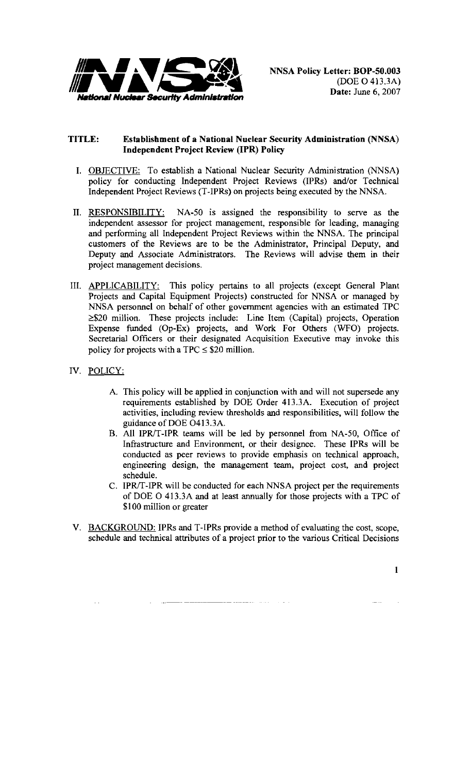

## **TITLE: Establishment of a National Nuclear Security Administration (NNSA) Independent Project Review (IPR) Policy**

- I. OBJECTIVE: To establish a National Nuclear Security Administration (NNSA) policy for conducting Independent Project Reviews (IPRs) and/or Technical Independent Project Reviews (T-IPRs) on projects being executed by the NNSA.
- II. RESPONSIBILITY: NA-50 is assigned the responsibility to serve as the independent assessor for project management, responsible for leading, managing and performing all Independent Project Reviews within the NNSA. The principal customers of the Reviews are to be the Administrator, Principal Deputy, and Deputy and Associate Administrators. The Reviews will advise them in their project management decisions.
- III. APPLICABILITY: This policy pertains to all projects (except General Plant Projects and Capital Equipment Projects) constructed for NNSA or managed by NNSA personnel on behalf of other government agencies with an estimated TPC  $\geq$ \$20 million. These projects include: Line Item (Capital) projects, Operation Expense funded (Op-Ex) projects, and Work For Others (WFO) projects. Secretarial Officers or their designated Acquisition Executive may invoke this policy for projects with a TPC  $\leq$  \$20 million.
- IV. POLICY:
	- A. This policy will be applied in conjunction with and will not supersede any requirements established by DOE Order 413.3A. Execution of project activities, including review thresholds and responsibilities, will follow the guidance of DOE 0413.3A.
	- B. All IPR/T-IPR teams will be led by personnel from NA-50, Office of Infrastructure and Environment, or their designee. These IPRs will be conducted as peer reviews to provide emphasis on technical approach, engineering design, the management team, project cost, and project schedule.
	- C. IPR/T-IPR will be conducted for each NNSA project per the requirements of DOE 0 413.3A and at least annually for those projects with a TPC of \$100 million or greater
- V. BACKGROUND: IPRs and T-IPRs provide a method of evaluating the cost, scope, schedule and technical attributes of a project prior to the various Critical Decisions

I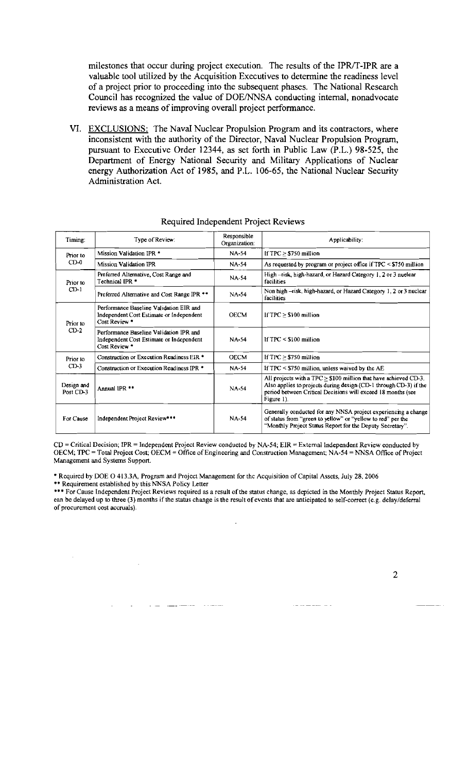milestones that occur during project execution. The results of the IPR/T-IPR are a valuable tool utilized by the Acquisition Executives to determine the readiness level of a project prior to proceeding into the subsequent phases. The National Research Council has recognized the value of DOE/NNSA conducting internal, nonadvocate reviews as a means of improving overall project performance.

VI. EXCLUSIONS: The Naval Nuclear Propulsion Program and its contractors, where inconsistent with the authority of the Director, Naval Nuclear Propulsion Program, pursuant to Executive Order 12344, as set forth in Public Law (P.L.) 98-525, the Department of Energy National Security and Military Applications of Nuclear energy Authorization Act of 1985, and P.L. 106-65, the National Nuclear Security Administration Act.

| Timing:                 | Type of Review:                                                                                      | Responsible<br>Organization: | Applicability:                                                                                                                                                                                                           |
|-------------------------|------------------------------------------------------------------------------------------------------|------------------------------|--------------------------------------------------------------------------------------------------------------------------------------------------------------------------------------------------------------------------|
| Prior to<br>$CD-0$      | Mission Validation IPR *                                                                             | <b>NA-54</b>                 | If $TPC > $750$ million                                                                                                                                                                                                  |
|                         | Mission Validation IPR                                                                               | <b>NA-54</b>                 | As requested by program or project office if $TPC \leq $750$ million                                                                                                                                                     |
| Prior to<br>$CD-1$      | Preferred Alternative, Cost Range and<br>Technical IPR *                                             | <b>NA-54</b>                 | High-risk, high-hazard, or Hazard Category 1, 2 or 3 nuelear<br>facilities                                                                                                                                               |
|                         | Preferred Alternative and Cost Range IPR **                                                          | <b>NA-54</b>                 | Non high –risk, high-hazard, or Hazard Category 1, 2 or 3 nuclear<br>facilities                                                                                                                                          |
| Prior to<br>$CD-2$      | Performance Baseline Validation EIR and<br>Independent Cost Estimate or Independent<br>Cost Review * | <b>OECM</b>                  | If $TPC > $100$ million                                                                                                                                                                                                  |
|                         | Performance Baseline Validation IPR and<br>Independent Cost Estimate or Independent<br>Cost Review * | NA-54                        | If $TPC \leq $100$ million                                                                                                                                                                                               |
| Prior to<br>$CD-3$      | Construction or Execution Readiness EIR *                                                            | <b>OECM</b>                  | If $TPC > $750$ million                                                                                                                                                                                                  |
|                         | Construction or Execution Readiness IPR *                                                            | <b>NA-54</b>                 | If $TPC \leq $750$ million, unless waived by the AE                                                                                                                                                                      |
| Design and<br>Post CD-3 | Annual IPR <sup>**</sup>                                                                             | $NA-54$                      | All projects with a TPC $\geq$ \$100 million that have achieved CD-3.<br>Also applies to projects during design (CD-1 through CD-3) if the<br>period between Critical Decisions will exceed 18 months (see<br>Figure 1). |
| For Cause               | Independent Project Review***                                                                        | <b>NA-54</b>                 | Generally conducted for any NNSA project experiencing a change<br>of status from "green to yellow" or "yellow to red" per the<br>"Monthly Project Status Report for the Deputy Secretary".                               |

## Required Independent Project Reviews

CD= Critical Decision; IPR =Independent Project Review condueted by NA-54; EIR =External independent Review eonducted by OECM; TPC = Total Project Cost; OECM = Office of Engineering and Construction Management; NA-54 = NNSA Office of Project Management and Systems Support.

• Required by DOE 0 413.3A, Program and Project Management for the Acquisition of Capital Assets, July 28.2006 \*\* Requirement established by this NNSA Policy Letter

••• For Cause Independent Project Reviews required as a result of the status change, as depicted in the Monthly Project Status Report, ean be delayed up to three (3) months if the status change is the result of events that are anticipated to self-correct (e.g. delay/deferral of procurement cost accruals).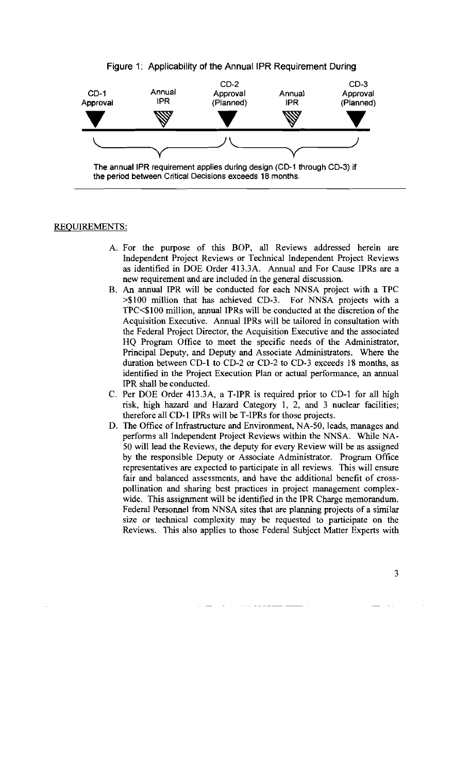



the period between Critical Decisions exceeds 18 months.

## REQUIREMENTS:

- A. For the purpose of this BOP, all Reviews addressed herein are Independent Project Reviews or Technical Independent Project Reviews as identified in DOE Order 413.3A. Annual and For Cause IPRs are a new requirement and are included in the general discussion.
- B. An annual IPR will be conducted for each NNSA project with a TPC >\$100 million that has achieved CD-3. For NNSA projects with a TPC<\$1 00 million, annual IPRs will be conducted at the discretion of the Acquisition Executive. Annual IPRs will be tailored in consultation with the Federal Project Director, the Acquisition Executive and the associated HQ Program Office to meet the specific needs of the Administrator, Principal Deputy, and Deputy and Associate Administrators. Where the duration between CD-I to CD-2 or CD-2 to CD-3 exceeds 18 months, as identified in the Project Execution Plan or actual performance, an annual IPR shall be conducted.
- C. Per DOE Order 413.3A, a T-IPR is required prior to CD-I for all high risk, high hazard and Hazard Category 1, 2, and 3 nuclear facilities; therefore all CD-I IPRs will be T-IPRs for those projects.
- D. The Office of Infrastructure and Environment, NA-50, leads, manages and performs all Independent Project Reviews within the NNSA. While NA-50 will lead the Reviews, the deputy for every Review will be as assigned by the responsible Deputy or Associate Administrator. Program Office representatives are expected to participate in all reviews. This will ensure fair and balanced assessments, and have the additional benefit of crosspollination and sharing best practices in project management complexwide. This assignment will be identified in the IPR Charge memorandum. Federal Personnel from NNSA sites that are planning projects of a similar size or technical complexity may be requested to participate on the Reviews. This also applies to those Federal Subject Matter Experts with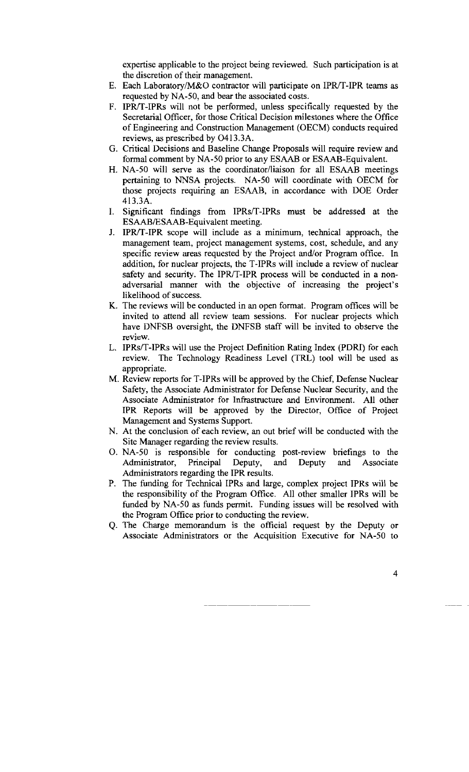expertise applicable to the project being reviewed. Such participation is at the discretion of their management.

- E. Each Laboratory/M&O contractor will participate on IPR/T-IPR teams as requested by NA-50, and bear the associated costs.
- F. IPR/T-IPRs will not be performed, unless specifically requested by the Secretarial Officer, for those Critical Decision milestones where the Office of Engineering and Construction Management (OECM) conducts required reviews, as prescribed by 0413.3A.
- G. Critical Decisions and Baseline Change Proposals will require review and formal comment by NA-50 prior to any ESAAB or ESAAB-Equivalent.
- H. NA-50 will serve as the coordinator/liaison for all ESAAB meetings pertaining to NNSA projects. NA-50 will coordinate with OECM for those projects requiring an ESAAB, in accordance with DOE Order 413.3A.
- I. Significant findings from IPRs/T-IPRs must be addressed at the ESAAB/ESAAB-Equivalent meeting.
- J. IPR/T-IPR scope will include as a minimum, technical approach, the management team, project management systems, cost, schedule, and any specific review areas requested by the Project and/or Program office. In addition, for nuclear projects, the T-IPRs will include a review of nuclear safety and security. The IPR/T-IPR process will be conducted in a nonadversarial manner with the objective of increasing the project's likelihood of success.
- K. The reviews will be conducted in an open format. Program offices will be invited to attend all review team sessions. For nuclear projects which have DNFSB oversight, the DNFSB staff will be invited to observe the review.
- L. IPRs/T-IPRs will use the Project Definition Rating Index (PORI) for each review. The Technology Readiness Level (TRL) tool will be used as appropriate.
- M. Review reports for T-IPRs will be approved by the Chief, Defense Nuclear Safety, the Associate Administrator for Defense Nuclear Security, and the Associate Administrator for Infrastructure and Environment. All other IPR Reports will be approved by the Director, Office of Project Management and Systems Support.
- N. At the conclusion of each review, an out brief will be conducted with the Site Manager regarding the review results.
- 0. NA-50 is responsible for conducting post-review briefings to the Administrator, Principal Deputy, and Deputy and Associate Administrators regarding the IPR results.
- P. The funding for Technical IPRs and large, complex project IPRs will be the responsibility of the Program Office. All other smaller IPRs will be funded by NA-50 as funds permit. Funding issues will be resolved with the Program Office prior to conducting the review.
- Q. The Charge memorandum is the official request by the Deputy or Associate Administrators or the Acquisition Executive for NA-50 to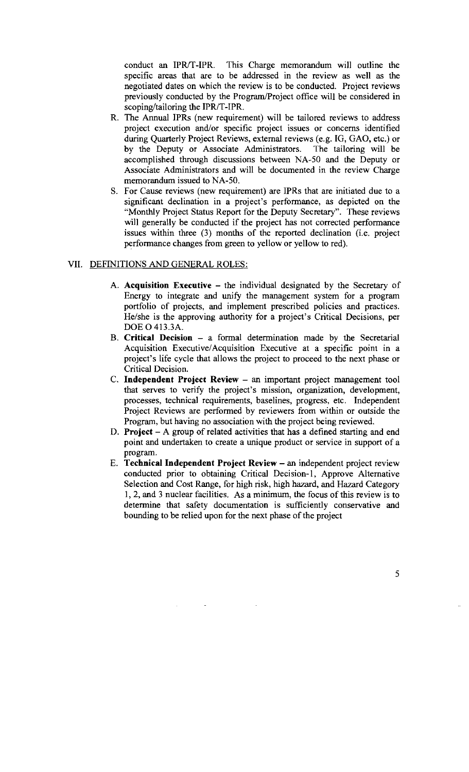conduct an IPR/T-IPR. This Charge memorandum will outline the specific areas that are to be addressed in the review as well as the negotiated dates on which the review is to be conducted. Project reviews previously conducted by the Program/Project office will be considered in scoping/tailoring the IPR/T-IPR.

- R. The Annual IPRs (new requirement) will be tailored reviews to address project execution and/or specific project issues or concerns identified during Quarterly Project Reviews, external reviews (e.g. IG, GAO, etc.) or by the Deputy or Associate Administrators. The tailoring will be accomplished through discussions between NA-50 and the Deputy or Associate Administrators and will be documented in the review Charge memorandum issued to NA-50.
- S. For Cause reviews (new requirement) are IPRs that are initiated due to a significant declination in a project's performance, as depicted on the "Monthly Project Status Report for the Deputy Secretary". These reviews will generally be conducted if the project has not corrected performance issues within three (3) months of the reported declination (i.e. project performance changes from green to yellow or yellow to red).

## VII. DEFINITIONS AND GENERAL ROLES:

- A. **Acquisition Executive –** the individual designated by the Secretary of Energy to integrate and unify the management system for a program portfolio of projects, and implement prescribed policies and practices. He/she is the approving authority for a project's Critical Decisions, per DOE 0 413.3A.
- B. **Critical Decision**  a formal determination made by the Secretarial Acquisition Executive/ Acquisition Executive at a specific point in a project's life cycle that allows the project to proceed to the next phase or Critical Decision.
- C. **Independent Project Review**  an important project management tool that serves to verify the project's mission, organization, development, processes, technical requirements, baselines, progress, etc. Independent Project Reviews are performed by reviewers from within or outside the Program, but having no association with the project being reviewed.
- D. **Project** A group of related activities that has a defined starting and end point and undertaken to create a unique product or service in support of a program.
- E. **Technical Independent Project Review-** an independent project review conducted prior to obtaining Critical Decision-!, Approve Alternative Selection and Cost Range, for high risk, high hazard, and Hazard Category I, 2, and 3 nuclear facilities. As a minimum, the focus of this review is to determine that safety documentation is sufficiently conservative and bounding to be relied upon for the next phase of the project